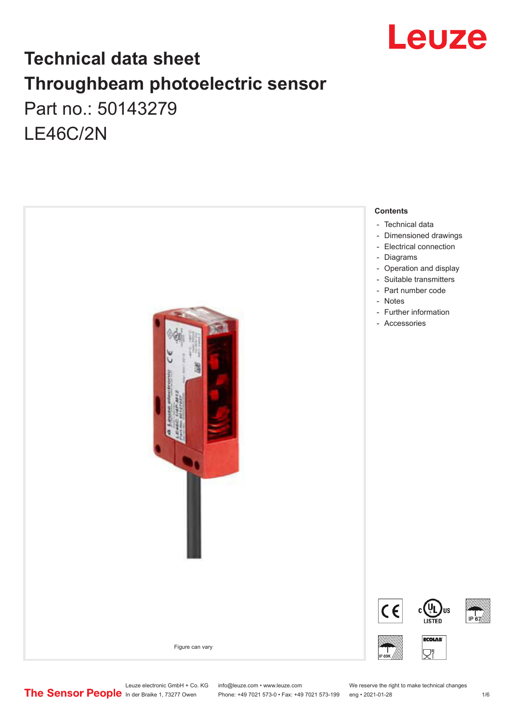

# **Technical data sheet Throughbeam photoelectric sensor**  Part no.: 50143279 LE46C/2N



Leuze electronic GmbH + Co. KG info@leuze.com • www.leuze.com We reserve the right to make technical changes<br>
The Sensor People in der Braike 1, 73277 Owen Phone: +49 7021 573-0 • Fax: +49 7021 573-199 eng • 2021-01-28

Phone: +49 7021 573-0 • Fax: +49 7021 573-199 eng • 2021-01-28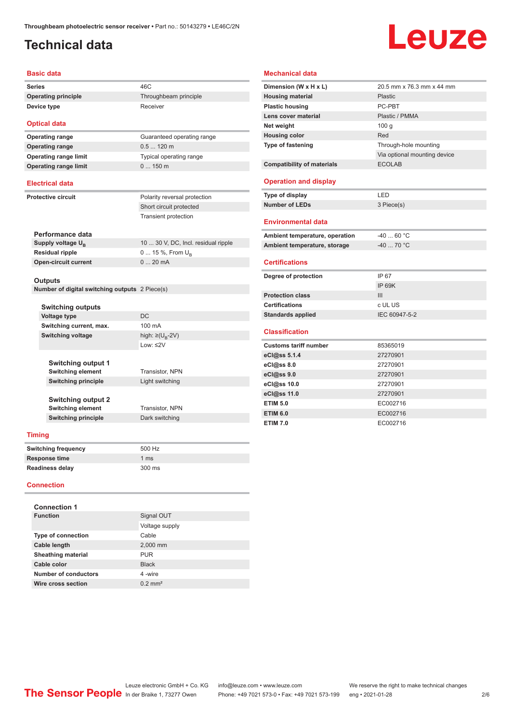# <span id="page-1-0"></span>**Technical data**

# Leuze

#### **Basic data**

**Series** 46C **Operating principle** Throughbeam principle **Device type** Receiver

#### **Optical data**

**Operating range** 0.5 ... 120 m **Operating range limit** Typical operating range **Operating range limit** 0 ... 150 m

# **Operating range** Guaranteed operating range

Short circuit protected Transient protection

#### **Electrical data**

**Protective circuit** Polarity reversal protection

| Performance data              |                                     |
|-------------------------------|-------------------------------------|
| Supply voltage U <sub>n</sub> | 10  30 V, DC, Incl. residual ripple |
| Residual ripple               | $015\%$ , From $U_{p}$              |
| Open-circuit current          | $020$ mA                            |

#### **Outputs**

**Number of digital switching outputs** 2 Piece(s)

| <b>Switching outputs</b>   |                           |  |
|----------------------------|---------------------------|--|
| Voltage type               | DC                        |  |
| Switching current, max.    | 100 mA                    |  |
| <b>Switching voltage</b>   | high: ≥( $U_{\rm R}$ -2V) |  |
|                            | $1$ nw: $\leq$ 2V         |  |
|                            |                           |  |
| <b>Switching output 1</b>  |                           |  |
| <b>Switching element</b>   | <b>Transistor, NPN</b>    |  |
| <b>Switching principle</b> | Light switching           |  |
|                            |                           |  |
| <b>Switching output 2</b>  |                           |  |
| <b>Switching element</b>   | Transistor, NPN           |  |
| <b>Switching principle</b> | Dark switching            |  |
|                            |                           |  |
| ina                        |                           |  |

#### **Timing**

| Switching frequency | 500 Hz        |
|---------------------|---------------|
| Response time       | 1 $\text{ms}$ |
| Readiness delay     | 300 ms        |

#### **Connection**

| <b>Connection 1</b>       |                       |
|---------------------------|-----------------------|
| <b>Function</b>           | Signal OUT            |
|                           | Voltage supply        |
| <b>Type of connection</b> | Cable                 |
| Cable length              | 2,000 mm              |
| <b>Sheathing material</b> | <b>PUR</b>            |
| Cable color               | <b>Black</b>          |
| Number of conductors      | 4-wire                |
| Wire cross section        | $0.2$ mm <sup>2</sup> |
|                           |                       |

| <b>Mechanical data</b>            |                              |
|-----------------------------------|------------------------------|
| Dimension (W x H x L)             | 20.5 mm x 76.3 mm x 44 mm    |
| <b>Housing material</b>           | Plastic                      |
| <b>Plastic housing</b>            | PC-PRT                       |
| Lens cover material               | Plastic / PMMA               |
| Net weight                        | 100q                         |
| <b>Housing color</b>              | Red                          |
| <b>Type of fastening</b>          | Through-hole mounting        |
|                                   | Via optional mounting device |
| <b>Compatibility of materials</b> | <b>ECOLAB</b>                |
| <b>Operation and display</b>      |                              |
| Type of display                   | LED                          |
| <b>Number of LEDs</b>             | 3 Piece(s)                   |
|                                   |                              |
| <b>Environmental data</b>         |                              |
| Ambient temperature, operation    | $-4060 °C$                   |
| Ambient temperature, storage      | $-40$ 70 °C                  |
| <b>Certifications</b>             |                              |
| Degree of protection              | IP 67                        |
|                                   | <b>IP 69K</b>                |
| <b>Protection class</b>           | Ш                            |
| <b>Certifications</b>             | c UL US                      |
| <b>Standards applied</b>          | IEC 60947-5-2                |
| <b>Classification</b>             |                              |
| <b>Customs tariff number</b>      | 85365019                     |
| eCl@ss $5.1.4$                    | 27270901                     |
| eCl@ss 8.0                        | 27270901                     |
| eCl@ss 9.0                        | 27270901                     |
| eCl@ss 10.0                       | 27270901                     |
| eCl@ss 11.0                       | 27270901                     |
| <b>ETIM 5.0</b>                   | EC002716                     |
| <b>ETIM 6.0</b>                   | EC002716                     |
| <b>ETIM 7.0</b>                   | EC002716                     |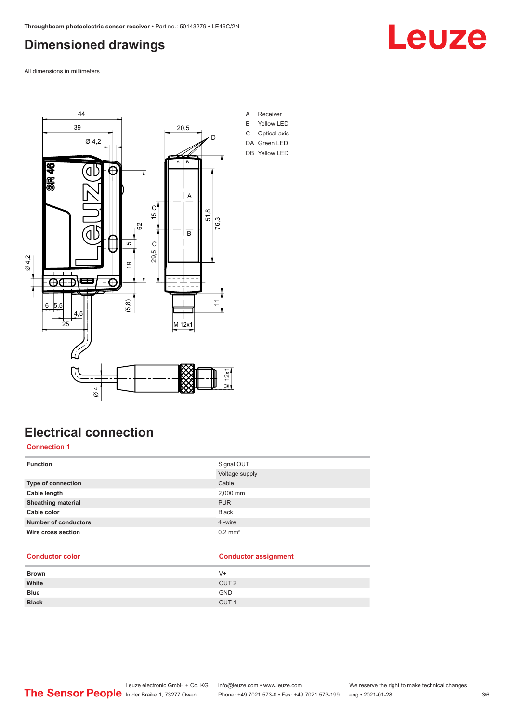## <span id="page-2-0"></span>**Dimensioned drawings**

All dimensions in millimeters



# **Electrical connection**

#### **Connection 1**

| <b>Function</b>             | Signal OUT            |
|-----------------------------|-----------------------|
|                             | Voltage supply        |
| <b>Type of connection</b>   | Cable                 |
| Cable length                | 2,000 mm              |
| <b>Sheathing material</b>   | <b>PUR</b>            |
| Cable color                 | <b>Black</b>          |
| <b>Number of conductors</b> | 4 -wire               |
| Wire cross section          | $0.2$ mm <sup>2</sup> |

#### **Conductor color Conductor assignment**

| <b>Brown</b> | $V +$            |
|--------------|------------------|
| White        | OUT <sub>2</sub> |
| <b>Blue</b>  | <b>GND</b>       |
| <b>Black</b> | OUT <sub>1</sub> |



# Leuze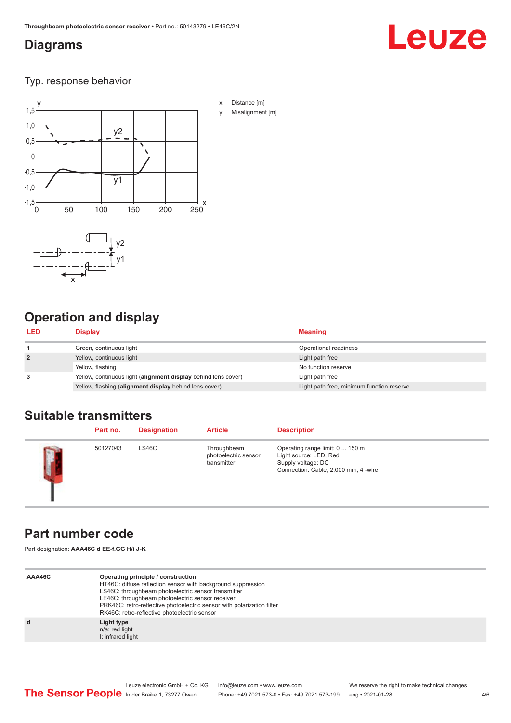## <span id="page-3-0"></span>**Diagrams**

# Leuze

Typ. response behavior



# **Operation and display**

| <b>LED</b>     | <b>Display</b>                                                 | <b>Meaning</b>                            |
|----------------|----------------------------------------------------------------|-------------------------------------------|
|                | Green, continuous light                                        | Operational readiness                     |
| $\overline{2}$ | Yellow, continuous light                                       | Light path free                           |
|                | Yellow, flashing                                               | No function reserve                       |
| 3              | Yellow, continuous light (alignment display behind lens cover) | Light path free                           |
|                | Yellow, flashing (alignment display behind lens cover)         | Light path free, minimum function reserve |

# **Suitable transmitters**

|        | Part no. | <b>Designation</b> | <b>Article</b>                                     | <b>Description</b>                                                                                                      |
|--------|----------|--------------------|----------------------------------------------------|-------------------------------------------------------------------------------------------------------------------------|
| $\Box$ | 50127043 | LS46C              | Throughbeam<br>photoelectric sensor<br>transmitter | Operating range limit: 0  150 m<br>Light source: LED, Red<br>Supply voltage: DC<br>Connection: Cable, 2,000 mm, 4 -wire |

## **Part number code**

Part designation: **AAA46C d EE-f.GG H/i J-K**

| AAA46C | Operating principle / construction<br>HT46C: diffuse reflection sensor with background suppression<br>LS46C: throughbeam photoelectric sensor transmitter<br>LE46C: throughbeam photoelectric sensor receiver<br>PRK46C: retro-reflective photoelectric sensor with polarization filter<br>RK46C: retro-reflective photoelectric sensor |
|--------|-----------------------------------------------------------------------------------------------------------------------------------------------------------------------------------------------------------------------------------------------------------------------------------------------------------------------------------------|
| d      | Light type<br>n/a: red light<br>I: infrared light                                                                                                                                                                                                                                                                                       |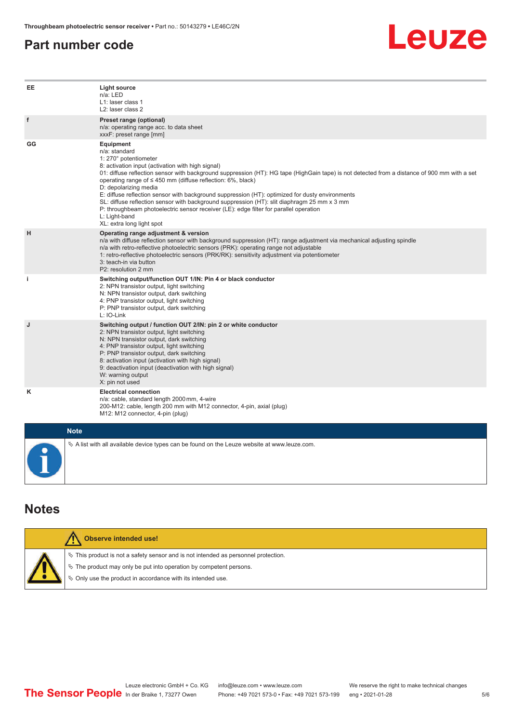#### <span id="page-4-0"></span>**Part number code**



| EE          | Light source<br>n/a: LED<br>L1: laser class 1<br>L <sub>2</sub> : laser class 2                                                                                                                                                                                                                                                                                                                                                                                                                                                                                                                                                                                                                |
|-------------|------------------------------------------------------------------------------------------------------------------------------------------------------------------------------------------------------------------------------------------------------------------------------------------------------------------------------------------------------------------------------------------------------------------------------------------------------------------------------------------------------------------------------------------------------------------------------------------------------------------------------------------------------------------------------------------------|
| f           | Preset range (optional)<br>n/a: operating range acc. to data sheet<br>xxxF: preset range [mm]                                                                                                                                                                                                                                                                                                                                                                                                                                                                                                                                                                                                  |
| GG          | Equipment<br>n/a: standard<br>1: 270° potentiometer<br>8: activation input (activation with high signal)<br>01: diffuse reflection sensor with background suppression (HT): HG tape (HighGain tape) is not detected from a distance of 900 mm with a set<br>operating range of $\leq$ 450 mm (diffuse reflection: 6%, black)<br>D: depolarizing media<br>E: diffuse reflection sensor with background suppression (HT): optimized for dusty environments<br>SL: diffuse reflection sensor with background suppression (HT): slit diaphragm 25 mm x 3 mm<br>P: throughbeam photoelectric sensor receiver (LE): edge filter for parallel operation<br>L: Light-band<br>XL: extra long light spot |
| н           | Operating range adjustment & version<br>n/a with diffuse reflection sensor with background suppression (HT): range adjustment via mechanical adjusting spindle<br>n/a with retro-reflective photoelectric sensors (PRK): operating range not adjustable<br>1: retro-reflective photoelectric sensors (PRK/RK): sensitivity adjustment via potentiometer<br>3: teach-in via button<br>P2: resolution 2 mm                                                                                                                                                                                                                                                                                       |
| i.          | Switching output/function OUT 1/IN: Pin 4 or black conductor<br>2: NPN transistor output, light switching<br>N: NPN transistor output, dark switching<br>4: PNP transistor output, light switching<br>P: PNP transistor output, dark switching<br>L: IO-Link                                                                                                                                                                                                                                                                                                                                                                                                                                   |
| J           | Switching output / function OUT 2/IN: pin 2 or white conductor<br>2: NPN transistor output, light switching<br>N: NPN transistor output, dark switching<br>4: PNP transistor output, light switching<br>P: PNP transistor output, dark switching<br>8: activation input (activation with high signal)<br>9: deactivation input (deactivation with high signal)<br>W: warning output<br>X: pin not used                                                                                                                                                                                                                                                                                         |
| κ           | <b>Electrical connection</b><br>n/a: cable, standard length 2000 mm, 4-wire<br>200-M12: cable, length 200 mm with M12 connector, 4-pin, axial (plug)<br>M12: M12 connector, 4-pin (plug)                                                                                                                                                                                                                                                                                                                                                                                                                                                                                                       |
| <b>Note</b> |                                                                                                                                                                                                                                                                                                                                                                                                                                                                                                                                                                                                                                                                                                |
|             | $\&$ A list with all available device types can be found on the Leuze website at www.leuze.com.                                                                                                                                                                                                                                                                                                                                                                                                                                                                                                                                                                                                |

## **Notes**

| <b>Observe intended use!</b>                                                          |
|---------------------------------------------------------------------------------------|
| $\%$ This product is not a safety sensor and is not intended as personnel protection. |
| § The product may only be put into operation by competent persons.                    |
| $\phi$ Only use the product in accordance with its intended use.                      |